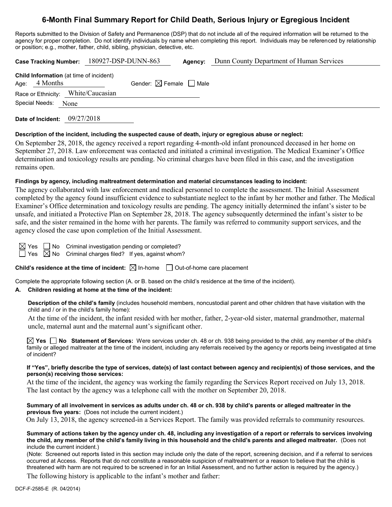# **6-Month Final Summary Report for Child Death, Serious Injury or Egregious Incident**

Reports submitted to the Division of Safety and Permanence (DSP) that do not include all of the required information will be returned to the agency for proper completion. Do not identify individuals by name when completing this report. Individuals may be referenced by relationship or position; e.g., mother, father, child, sibling, physician, detective, etc.

| Case Tracking Number: 180927-DSP-DUNN-863                         |  |                                        | Agency: | Dunn County Department of Human Services |
|-------------------------------------------------------------------|--|----------------------------------------|---------|------------------------------------------|
| <b>Child Information</b> (at time of incident)<br>Age: $4$ Months |  | Gender: $\boxtimes$ Female $\Box$ Male |         |                                          |
| Race or Ethnicity: White/Caucasian                                |  |                                        |         |                                          |
| Special Needs: None                                               |  |                                        |         |                                          |
|                                                                   |  |                                        |         |                                          |

**Date of Incident:** 09/27/2018

### **Description of the incident, including the suspected cause of death, injury or egregious abuse or neglect:**

On September 28, 2018, the agency received a report regarding 4-month-old infant pronounced deceased in her home on September 27, 2018. Law enforcement was contacted and initiated a criminal investigation. The Medical Examiner's Office determination and toxicology results are pending. No criminal charges have been filed in this case, and the investigation remains open.

### **Findings by agency, including maltreatment determination and material circumstances leading to incident:**

The agency collaborated with law enforcement and medical personnel to complete the assessment. The Initial Assessment completed by the agency found insufficient evidence to substantiate neglect to the infant by her mother and father. The Medical Examiner's Office determination and toxicology results are pending. The agency initially determined the infant's sister to be unsafe, and initiated a Protective Plan on September 28, 2018. The agency subsequently determined the infant's sister to be safe, and the sister remained in the home with her parents. The family was referred to community support services, and the agency closed the case upon completion of the Initial Assessment.

Yes  $\Box$  No Criminal investigation pending or completed? Yes  $\boxtimes$  No Criminal charges filed? If yes, against whom?

**Child's residence at the time of incident:**  $\boxtimes$  In-home  $\Box$  Out-of-home care placement

Complete the appropriate following section (A. or B. based on the child's residence at the time of the incident).

### **A. Children residing at home at the time of the incident:**

**Description of the child's family** (includes household members, noncustodial parent and other children that have visitation with the child and / or in the child's family home):

At the time of the incident, the infant resided with her mother, father, 2-year-old sister, maternal grandmother, maternal uncle, maternal aunt and the maternal aunt's significant other.

**Yes No Statement of Services:** Were services under ch. 48 or ch. 938 being provided to the child, any member of the child's family or alleged maltreater at the time of the incident, including any referrals received by the agency or reports being investigated at time of incident?

#### **If "Yes", briefly describe the type of services, date(s) of last contact between agency and recipient(s) of those services, and the person(s) receiving those services:**

At the time of the incident, the agency was working the family regarding the Services Report received on July 13, 2018. The last contact by the agency was a telephone call with the mother on September 20, 2018.

**Summary of all involvement in services as adults under ch. 48 or ch. 938 by child's parents or alleged maltreater in the previous five years:** (Does not include the current incident.)

On July 13, 2018, the agency screened-in a Services Report. The family was provided referrals to community resources.

**Summary of actions taken by the agency under ch. 48, including any investigation of a report or referrals to services involving the child, any member of the child's family living in this household and the child's parents and alleged maltreater.** (Does not include the current incident.)

(Note: Screened out reports listed in this section may include only the date of the report, screening decision, and if a referral to services occurred at Access. Reports that do not constitute a reasonable suspicion of maltreatment or a reason to believe that the child is threatened with harm are not required to be screened in for an Initial Assessment, and no further action is required by the agency.)

The following history is applicable to the infant's mother and father: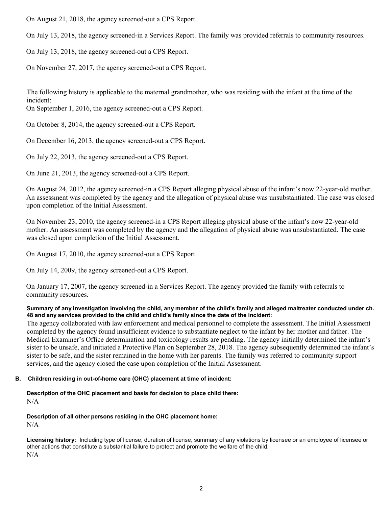On August 21, 2018, the agency screened-out a CPS Report.

On July 13, 2018, the agency screened-in a Services Report. The family was provided referrals to community resources.

On July 13, 2018, the agency screened-out a CPS Report.

On November 27, 2017, the agency screened-out a CPS Report.

The following history is applicable to the maternal grandmother, who was residing with the infant at the time of the incident:

On September 1, 2016, the agency screened-out a CPS Report.

On October 8, 2014, the agency screened-out a CPS Report.

On December 16, 2013, the agency screened-out a CPS Report.

On July 22, 2013, the agency screened-out a CPS Report.

On June 21, 2013, the agency screened-out a CPS Report.

On August 24, 2012, the agency screened-in a CPS Report alleging physical abuse of the infant's now 22-year-old mother. An assessment was completed by the agency and the allegation of physical abuse was unsubstantiated. The case was closed upon completion of the Initial Assessment.

On November 23, 2010, the agency screened-in a CPS Report alleging physical abuse of the infant's now 22-year-old mother. An assessment was completed by the agency and the allegation of physical abuse was unsubstantiated. The case was closed upon completion of the Initial Assessment.

On August 17, 2010, the agency screened-out a CPS Report.

On July 14, 2009, the agency screened-out a CPS Report.

On January 17, 2007, the agency screened-in a Services Report. The agency provided the family with referrals to community resources.

## **Summary of any investigation involving the child, any member of the child's family and alleged maltreater conducted under ch. 48 and any services provided to the child and child's family since the date of the incident:**

The agency collaborated with law enforcement and medical personnel to complete the assessment. The Initial Assessment completed by the agency found insufficient evidence to substantiate neglect to the infant by her mother and father. The Medical Examiner's Office determination and toxicology results are pending. The agency initially determined the infant's sister to be unsafe, and initiated a Protective Plan on September 28, 2018. The agency subsequently determined the infant's sister to be safe, and the sister remained in the home with her parents. The family was referred to community support services, and the agency closed the case upon completion of the Initial Assessment.

# **B. Children residing in out-of-home care (OHC) placement at time of incident:**

**Description of the OHC placement and basis for decision to place child there:** N/A

**Description of all other persons residing in the OHC placement home:** N/A

**Licensing history:** Including type of license, duration of license, summary of any violations by licensee or an employee of licensee or other actions that constitute a substantial failure to protect and promote the welfare of the child. N/A